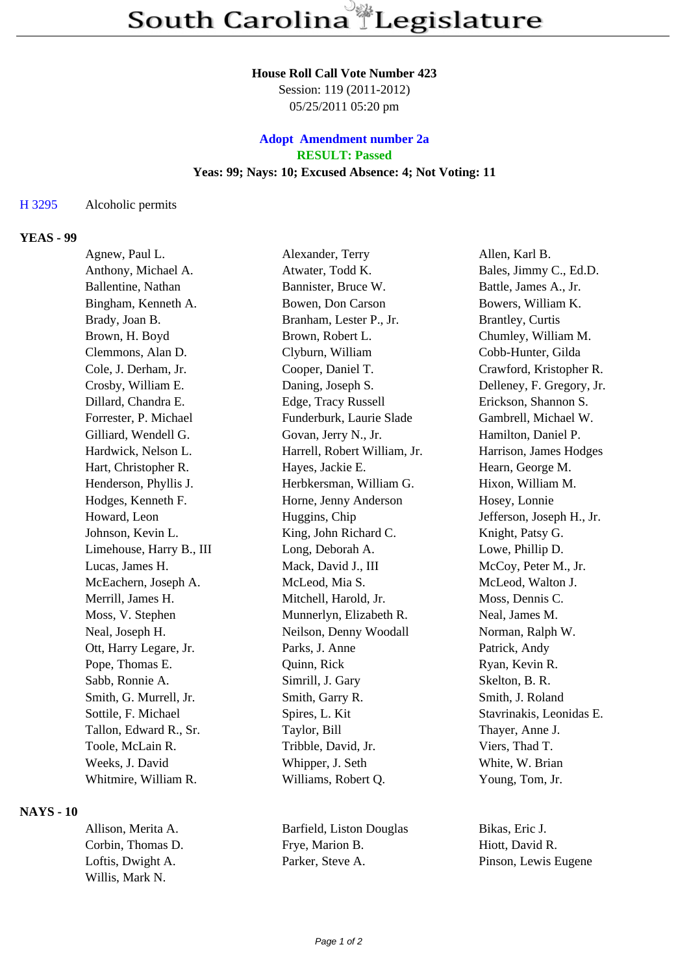#### **House Roll Call Vote Number 423**

Session: 119 (2011-2012) 05/25/2011 05:20 pm

# **Adopt Amendment number 2a RESULT: Passed Yeas: 99; Nays: 10; Excused Absence: 4; Not Voting: 11**

#### H 3295 Alcoholic permits

## **YEAS - 99**

| Agnew, Paul L.           | Alexander, Terry             | Allen, Karl B.            |
|--------------------------|------------------------------|---------------------------|
| Anthony, Michael A.      | Atwater, Todd K.             | Bales, Jimmy C., Ed.D.    |
| Ballentine, Nathan       | Bannister, Bruce W.          | Battle, James A., Jr.     |
| Bingham, Kenneth A.      | Bowen, Don Carson            | Bowers, William K.        |
| Brady, Joan B.           | Branham, Lester P., Jr.      | <b>Brantley, Curtis</b>   |
| Brown, H. Boyd           | Brown, Robert L.             | Chumley, William M.       |
| Clemmons, Alan D.        | Clyburn, William             | Cobb-Hunter, Gilda        |
| Cole, J. Derham, Jr.     | Cooper, Daniel T.            | Crawford, Kristopher R.   |
| Crosby, William E.       | Daning, Joseph S.            | Delleney, F. Gregory, Jr. |
| Dillard, Chandra E.      | Edge, Tracy Russell          | Erickson, Shannon S.      |
| Forrester, P. Michael    | Funderburk, Laurie Slade     | Gambrell, Michael W.      |
| Gilliard, Wendell G.     | Govan, Jerry N., Jr.         | Hamilton, Daniel P.       |
| Hardwick, Nelson L.      | Harrell, Robert William, Jr. | Harrison, James Hodges    |
| Hart, Christopher R.     | Hayes, Jackie E.             | Hearn, George M.          |
| Henderson, Phyllis J.    | Herbkersman, William G.      | Hixon, William M.         |
| Hodges, Kenneth F.       | Horne, Jenny Anderson        | Hosey, Lonnie             |
| Howard, Leon             | Huggins, Chip                | Jefferson, Joseph H., Jr. |
| Johnson, Kevin L.        | King, John Richard C.        | Knight, Patsy G.          |
| Limehouse, Harry B., III | Long, Deborah A.             | Lowe, Phillip D.          |
| Lucas, James H.          | Mack, David J., III          | McCoy, Peter M., Jr.      |
| McEachern, Joseph A.     | McLeod, Mia S.               | McLeod, Walton J.         |
| Merrill, James H.        | Mitchell, Harold, Jr.        | Moss, Dennis C.           |
| Moss, V. Stephen         | Munnerlyn, Elizabeth R.      | Neal, James M.            |
| Neal, Joseph H.          | Neilson, Denny Woodall       | Norman, Ralph W.          |
| Ott, Harry Legare, Jr.   | Parks, J. Anne               | Patrick, Andy             |
| Pope, Thomas E.          | Quinn, Rick                  | Ryan, Kevin R.            |
| Sabb, Ronnie A.          | Simrill, J. Gary             | Skelton, B. R.            |
| Smith, G. Murrell, Jr.   | Smith, Garry R.              | Smith, J. Roland          |
| Sottile, F. Michael      | Spires, L. Kit               | Stavrinakis, Leonidas E.  |
| Tallon, Edward R., Sr.   | Taylor, Bill                 | Thayer, Anne J.           |
| Toole, McLain R.         | Tribble, David, Jr.          | Viers, Thad T.            |
| Weeks, J. David          | Whipper, J. Seth             | White, W. Brian           |
| Whitmire, William R.     | Williams, Robert Q.          | Young, Tom, Jr.           |
|                          |                              |                           |

## **NAYS - 10**

Corbin, Thomas D. Frye, Marion B. Hiott, David R. Loftis, Dwight A. Parker, Steve A. Pinson, Lewis Eugene Willis, Mark N.

Allison, Merita A. Barfield, Liston Douglas Bikas, Eric J.